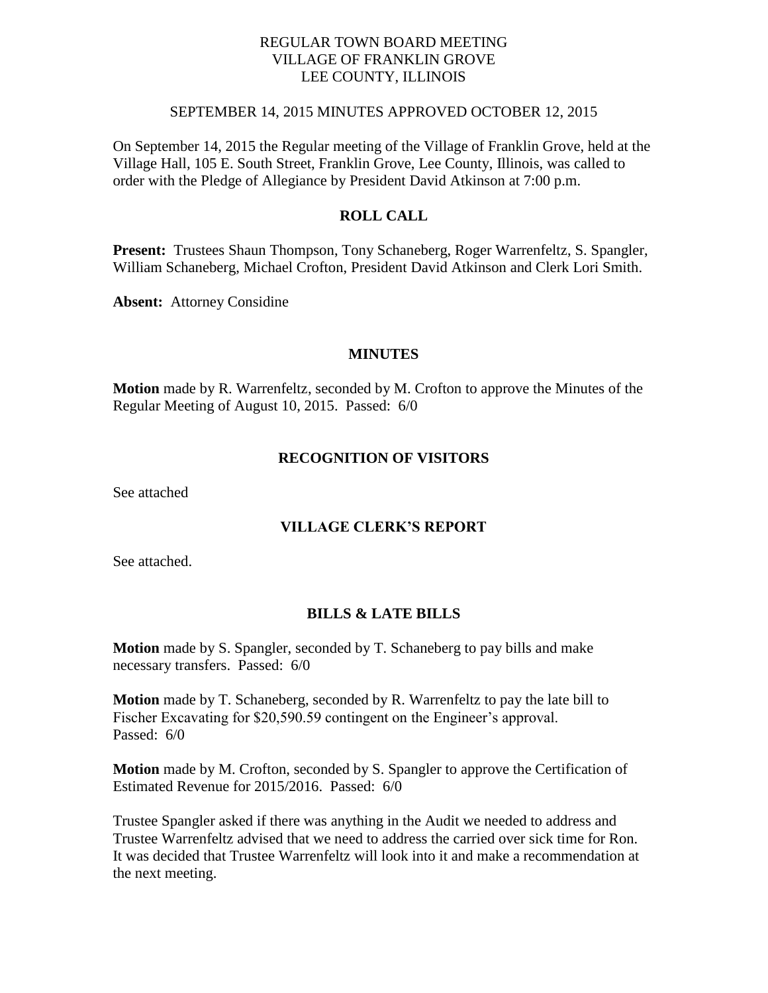## REGULAR TOWN BOARD MEETING VILLAGE OF FRANKLIN GROVE LEE COUNTY, ILLINOIS

#### SEPTEMBER 14, 2015 MINUTES APPROVED OCTOBER 12, 2015

On September 14, 2015 the Regular meeting of the Village of Franklin Grove, held at the Village Hall, 105 E. South Street, Franklin Grove, Lee County, Illinois, was called to order with the Pledge of Allegiance by President David Atkinson at 7:00 p.m.

### **ROLL CALL**

**Present:** Trustees Shaun Thompson, Tony Schaneberg, Roger Warrenfeltz, S. Spangler, William Schaneberg, Michael Crofton, President David Atkinson and Clerk Lori Smith.

**Absent:** Attorney Considine

#### **MINUTES**

**Motion** made by R. Warrenfeltz, seconded by M. Crofton to approve the Minutes of the Regular Meeting of August 10, 2015. Passed: 6/0

#### **RECOGNITION OF VISITORS**

See attached

## **VILLAGE CLERK'S REPORT**

See attached.

## **BILLS & LATE BILLS**

**Motion** made by S. Spangler, seconded by T. Schaneberg to pay bills and make necessary transfers. Passed: 6/0

**Motion** made by T. Schaneberg, seconded by R. Warrenfeltz to pay the late bill to Fischer Excavating for \$20,590.59 contingent on the Engineer's approval. Passed: 6/0

**Motion** made by M. Crofton, seconded by S. Spangler to approve the Certification of Estimated Revenue for 2015/2016. Passed: 6/0

Trustee Spangler asked if there was anything in the Audit we needed to address and Trustee Warrenfeltz advised that we need to address the carried over sick time for Ron. It was decided that Trustee Warrenfeltz will look into it and make a recommendation at the next meeting.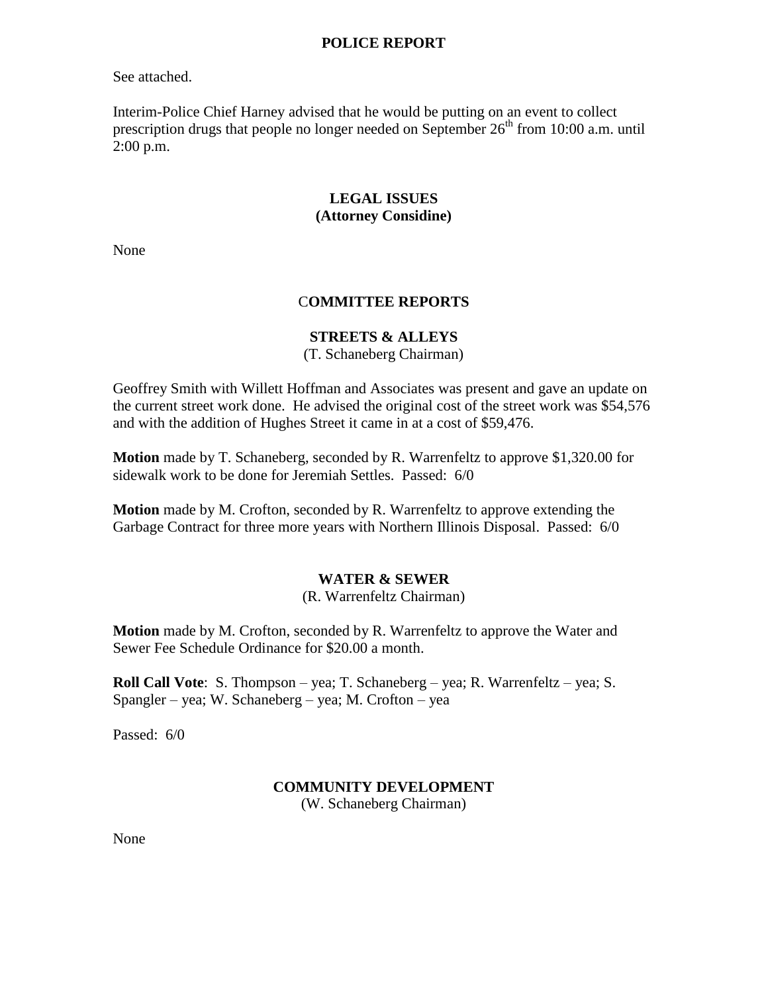#### **POLICE REPORT**

See attached.

Interim-Police Chief Harney advised that he would be putting on an event to collect prescription drugs that people no longer needed on September  $26<sup>th</sup>$  from 10:00 a.m. until 2:00 p.m.

# **LEGAL ISSUES (Attorney Considine)**

None

# C**OMMITTEE REPORTS**

#### **STREETS & ALLEYS**

(T. Schaneberg Chairman)

Geoffrey Smith with Willett Hoffman and Associates was present and gave an update on the current street work done. He advised the original cost of the street work was \$54,576 and with the addition of Hughes Street it came in at a cost of \$59,476.

**Motion** made by T. Schaneberg, seconded by R. Warrenfeltz to approve \$1,320.00 for sidewalk work to be done for Jeremiah Settles. Passed: 6/0

**Motion** made by M. Crofton, seconded by R. Warrenfeltz to approve extending the Garbage Contract for three more years with Northern Illinois Disposal. Passed: 6/0

# **WATER & SEWER**

(R. Warrenfeltz Chairman)

**Motion** made by M. Crofton, seconded by R. Warrenfeltz to approve the Water and Sewer Fee Schedule Ordinance for \$20.00 a month.

**Roll Call Vote**: S. Thompson – yea; T. Schaneberg – yea; R. Warrenfeltz – yea; S. Spangler – yea; W. Schaneberg – yea; M. Crofton – yea

Passed: 6/0

## **COMMUNITY DEVELOPMENT**

(W. Schaneberg Chairman)

None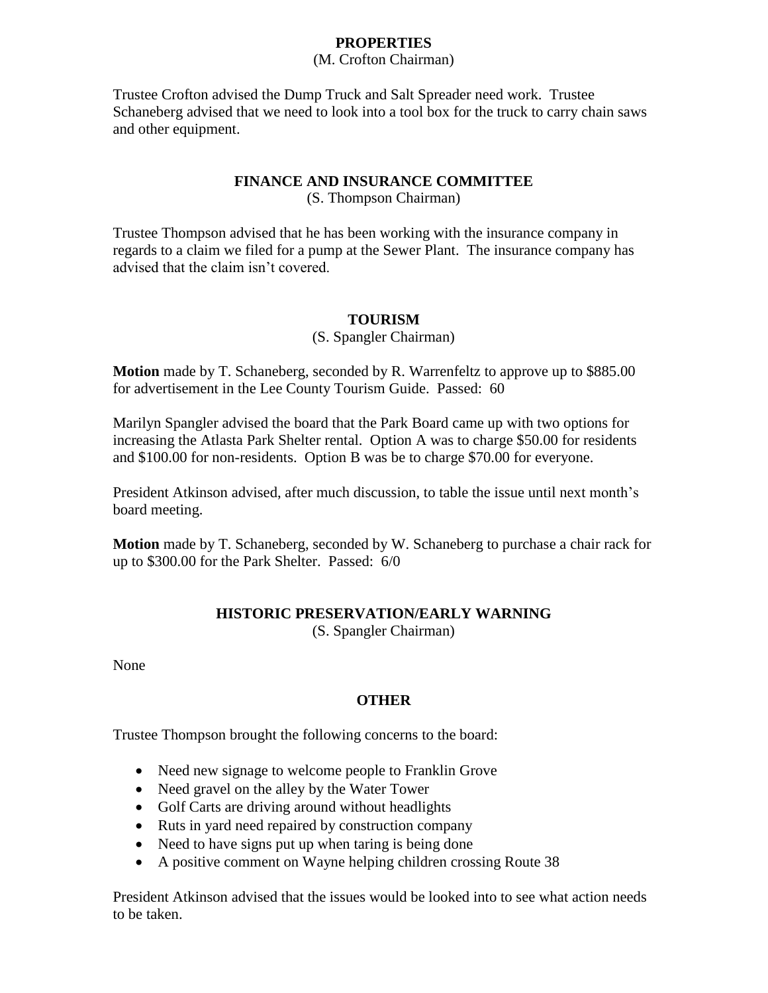# **PROPERTIES**

(M. Crofton Chairman)

Trustee Crofton advised the Dump Truck and Salt Spreader need work. Trustee Schaneberg advised that we need to look into a tool box for the truck to carry chain saws and other equipment.

## **FINANCE AND INSURANCE COMMITTEE**

(S. Thompson Chairman)

Trustee Thompson advised that he has been working with the insurance company in regards to a claim we filed for a pump at the Sewer Plant. The insurance company has advised that the claim isn't covered.

# **TOURISM**

(S. Spangler Chairman)

**Motion** made by T. Schaneberg, seconded by R. Warrenfeltz to approve up to \$885.00 for advertisement in the Lee County Tourism Guide. Passed: 60

Marilyn Spangler advised the board that the Park Board came up with two options for increasing the Atlasta Park Shelter rental. Option A was to charge \$50.00 for residents and \$100.00 for non-residents. Option B was be to charge \$70.00 for everyone.

President Atkinson advised, after much discussion, to table the issue until next month's board meeting.

**Motion** made by T. Schaneberg, seconded by W. Schaneberg to purchase a chair rack for up to \$300.00 for the Park Shelter. Passed: 6/0

# **HISTORIC PRESERVATION/EARLY WARNING**

(S. Spangler Chairman)

None

# **OTHER**

Trustee Thompson brought the following concerns to the board:

- Need new signage to welcome people to Franklin Grove
- Need gravel on the alley by the Water Tower
- Golf Carts are driving around without headlights
- Ruts in yard need repaired by construction company
- Need to have signs put up when taring is being done
- A positive comment on Wayne helping children crossing Route 38

President Atkinson advised that the issues would be looked into to see what action needs to be taken.